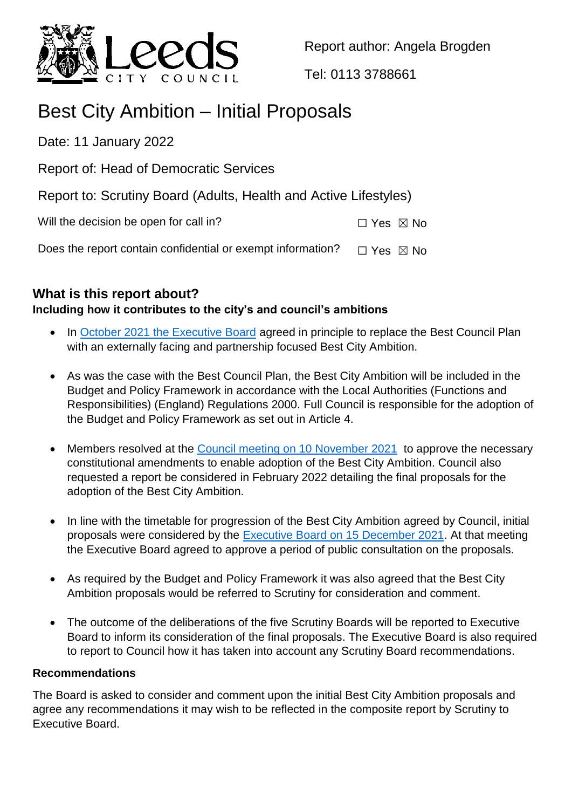

Report author: Angela Brogden

Tel: 0113 3788661

# Best City Ambition – Initial Proposals

Date: 11 January 2022

Report of: Head of Democratic Services

Report to: Scrutiny Board (Adults, Health and Active Lifestyles)

Will the decision be open for call in?  $\square$  Yes  $\square$  No

Does the report contain confidential or exempt information?  $\Box$  Yes  $\boxtimes$  No

# **What is this report about?**

# **Including how it contributes to the city's and council's ambitions**

- In [October 2021 the Executive Board](https://democracy.leeds.gov.uk/ieListDocuments.aspx?CId=102&MId=11359) agreed in principle to replace the Best Council Plan with an externally facing and partnership focused Best City Ambition.
- As was the case with the Best Council Plan, the Best City Ambition will be included in the Budget and Policy Framework in accordance with the Local Authorities (Functions and Responsibilities) (England) Regulations 2000. Full Council is responsible for the adoption of the Budget and Policy Framework as set out in Article 4.
- Members resolved at the [Council meeting on 10 November 2021](https://democracy.leeds.gov.uk/ieListDocuments.aspx?CId=111&MId=11483) to approve the necessary constitutional amendments to enable adoption of the Best City Ambition. Council also requested a report be considered in February 2022 detailing the final proposals for the adoption of the Best City Ambition.
- In line with the timetable for progression of the Best City Ambition agreed by Council, initial proposals were considered by the [Executive Board on 15 December 2021.](https://democracy.leeds.gov.uk/ieListDocuments.aspx?CId=102&MId=11361) At that meeting the Executive Board agreed to approve a period of public consultation on the proposals.
- As required by the Budget and Policy Framework it was also agreed that the Best City Ambition proposals would be referred to Scrutiny for consideration and comment.
- The outcome of the deliberations of the five Scrutiny Boards will be reported to Executive Board to inform its consideration of the final proposals. The Executive Board is also required to report to Council how it has taken into account any Scrutiny Board recommendations.

# **Recommendations**

The Board is asked to consider and comment upon the initial Best City Ambition proposals and agree any recommendations it may wish to be reflected in the composite report by Scrutiny to Executive Board.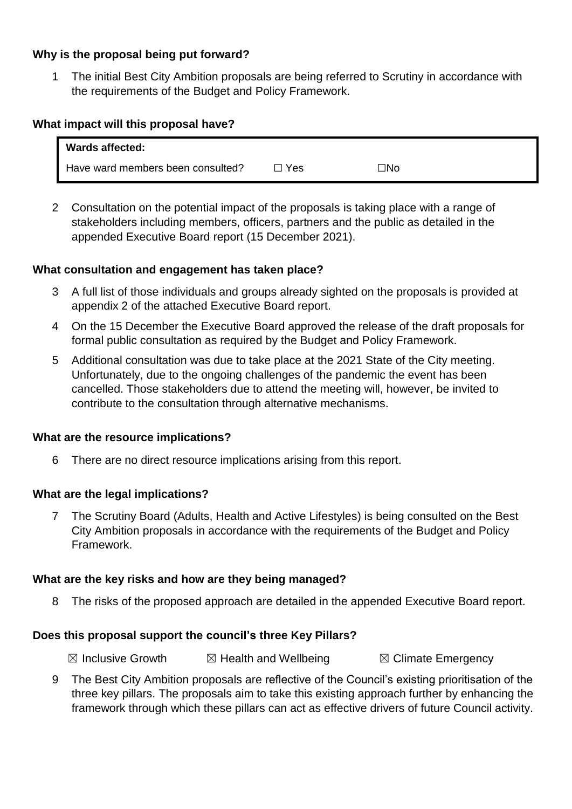# **Why is the proposal being put forward?**

1 The initial Best City Ambition proposals are being referred to Scrutiny in accordance with the requirements of the Budget and Policy Framework.

## **What impact will this proposal have?**

| Wards affected:                   |       |     |
|-----------------------------------|-------|-----|
| Have ward members been consulted? | □ Yes | ⊡No |

2 Consultation on the potential impact of the proposals is taking place with a range of stakeholders including members, officers, partners and the public as detailed in the appended Executive Board report (15 December 2021).

#### **What consultation and engagement has taken place?**

- 3 A full list of those individuals and groups already sighted on the proposals is provided at appendix 2 of the attached Executive Board report.
- 4 On the 15 December the Executive Board approved the release of the draft proposals for formal public consultation as required by the Budget and Policy Framework.
- 5 Additional consultation was due to take place at the 2021 State of the City meeting. Unfortunately, due to the ongoing challenges of the pandemic the event has been cancelled. Those stakeholders due to attend the meeting will, however, be invited to contribute to the consultation through alternative mechanisms.

#### **What are the resource implications?**

6 There are no direct resource implications arising from this report.

#### **What are the legal implications?**

7 The Scrutiny Board (Adults, Health and Active Lifestyles) is being consulted on the Best City Ambition proposals in accordance with the requirements of the Budget and Policy Framework.

#### **What are the key risks and how are they being managed?**

8 The risks of the proposed approach are detailed in the appended Executive Board report.

#### **Does this proposal support the council's three Key Pillars?**

 $\boxtimes$  Inclusive Growth  $\boxtimes$  Health and Wellbeing  $\boxtimes$  Climate Emergency

9 The Best City Ambition proposals are reflective of the Council's existing prioritisation of the three key pillars. The proposals aim to take this existing approach further by enhancing the framework through which these pillars can act as effective drivers of future Council activity.